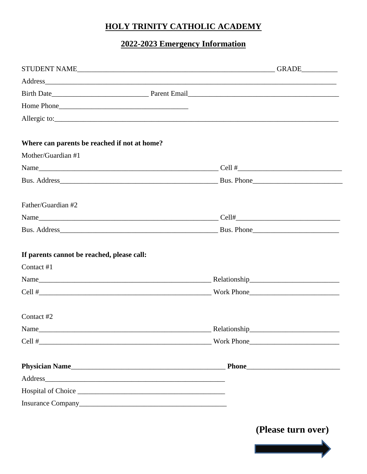## HOLY TRINITY CATHOLIC ACADEMY

## 2022-2023 Emergency Information

| Allergic to:                                 |                    |  |  |
|----------------------------------------------|--------------------|--|--|
| Where can parents be reached if not at home? |                    |  |  |
| Mother/Guardian #1                           |                    |  |  |
|                                              |                    |  |  |
|                                              |                    |  |  |
| Father/Guardian #2                           |                    |  |  |
|                                              |                    |  |  |
|                                              |                    |  |  |
| If parents cannot be reached, please call:   |                    |  |  |
| Contact #1                                   |                    |  |  |
|                                              |                    |  |  |
|                                              |                    |  |  |
| Contact #2                                   |                    |  |  |
| Name                                         | Relationship       |  |  |
|                                              |                    |  |  |
|                                              |                    |  |  |
|                                              |                    |  |  |
|                                              |                    |  |  |
|                                              |                    |  |  |
|                                              | (Please turn over) |  |  |

<u> Anglický protoko</u>